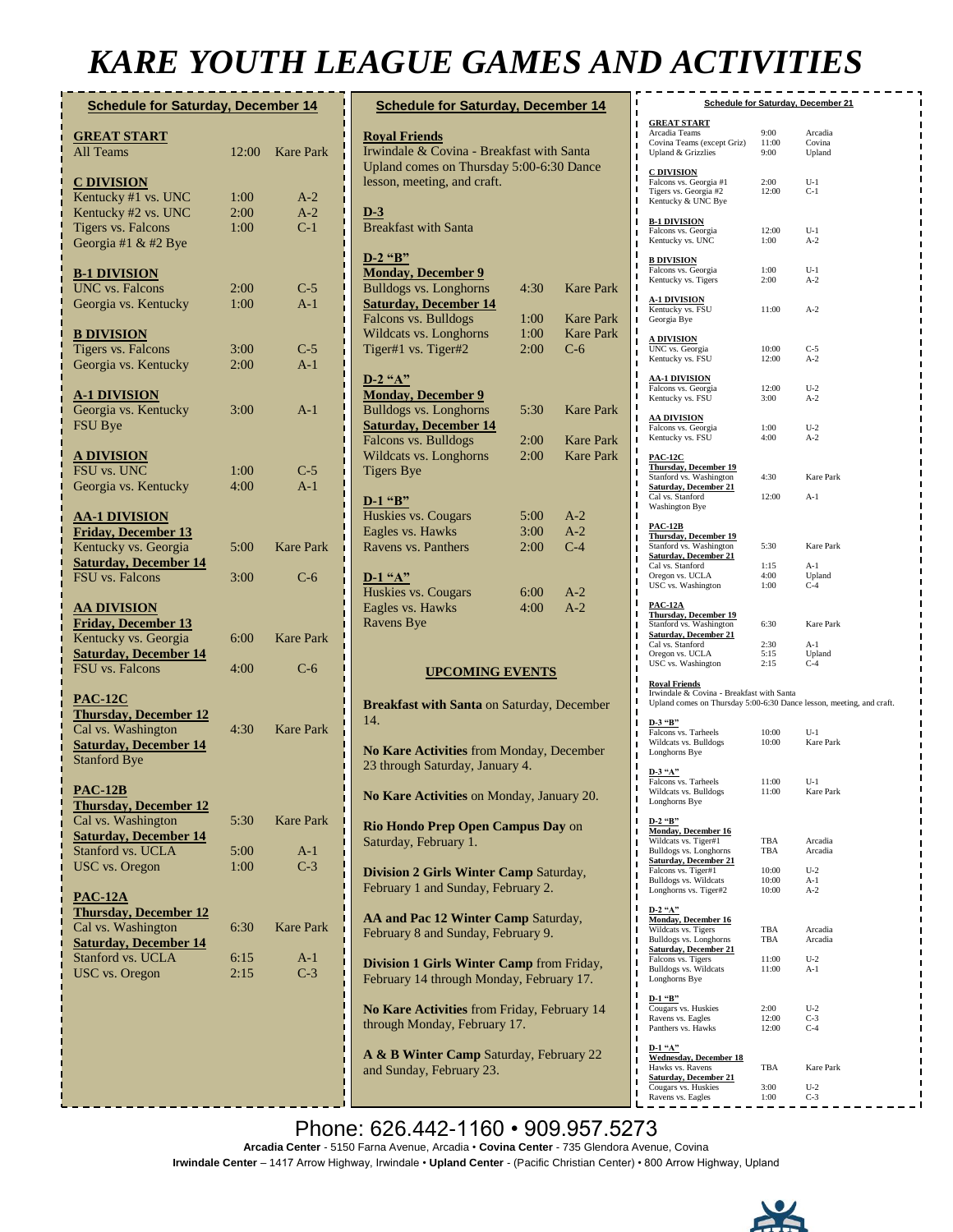## *KARE YOUTH LEAGUE GAMES AND ACTIVITIES*

| <b>Schedule for Saturday, December 14</b>           |              |                  |
|-----------------------------------------------------|--------------|------------------|
| <b>GREAT START</b>                                  |              |                  |
| <b>All Teams</b>                                    | 12:00        | <b>Kare Park</b> |
| <b>C DIVISION</b>                                   |              |                  |
| Kentucky #1 vs. UNC                                 | 1:00         | $A-2$            |
| Kentucky #2 vs. UNC<br><b>Tigers vs. Falcons</b>    | 2:00<br>1:00 | $A-2$<br>$C-1$   |
| Georgia #1 & #2 Bye                                 |              |                  |
|                                                     |              |                  |
| <b>B-1 DIVISION</b><br><b>UNC</b> vs. Falcons       | 2:00         | $C-5$            |
| Georgia vs. Kentucky                                | 1:00         | $A-1$            |
| <b>B DIVISION</b>                                   |              |                  |
| <b>Tigers vs. Falcons</b>                           | 3:00         | $C-5$            |
| Georgia vs. Kentucky                                | 2:00         | $A-1$            |
| <b>A-1 DIVISION</b>                                 |              |                  |
| Georgia vs. Kentucky                                | 3:00         | $A-1$            |
| FSU Bye                                             |              |                  |
| <u>A DIVISION</u>                                   |              |                  |
| FSU vs. UNC                                         | 1:00         | $C-5$            |
| Georgia vs. Kentucky                                | 4:00         | $A-1$            |
| <b>AA-1 DIVISION</b>                                |              |                  |
| <b>Friday, December 13</b>                          |              |                  |
| Kentucky vs. Georgia                                | 5:00         | <b>Kare Park</b> |
| <b>Saturday, December 14</b><br>FSU vs. Falcons     | 3:00         | $C-6$            |
|                                                     |              |                  |
| <b>AA DIVISION</b>                                  |              |                  |
| <b>Friday, December 13</b><br>Kentucky vs. Georgia  | 6:00         | <b>Kare Park</b> |
| <b>Saturday, December 14</b>                        |              |                  |
| FSU vs. Falcons                                     | 4:00         | $C-6$            |
| <b>PAC-12C</b>                                      |              |                  |
| <b>Thursday, December 12</b>                        |              |                  |
| Cal vs. Washington                                  | 4:30         | <b>Kare Park</b> |
| <b>Saturday, December 14</b><br><b>Stanford Bye</b> |              |                  |
|                                                     |              |                  |
| <b>PAC-12B</b>                                      |              |                  |
| <b>Thursday, December 12</b><br>Cal vs. Washington  | 5:30         | <b>Kare Park</b> |
| <b>Saturday, December 14</b>                        |              |                  |
| Stanford vs. UCLA                                   | 5:00         | A-1              |
| <b>USC</b> vs. Oregon                               | 1:00         | $C-3$            |
| <b>PAC-12A</b>                                      |              |                  |
| <b>Thursday, December 12</b>                        |              |                  |
| Cal vs. Washington<br><b>Saturday, December 14</b>  | 6:30         | <b>Kare Park</b> |
| Stanford vs. UCLA                                   | 6:15         | A-1              |
| USC vs. Oregon                                      | 2:15         | $C-3$            |
|                                                     |              |                  |
|                                                     |              |                  |
|                                                     |              |                  |
|                                                     |              |                  |
|                                                     |              |                  |

| <b>Schedule for Saturday, December 14</b>                                                                                                    |              |                  |  |  |
|----------------------------------------------------------------------------------------------------------------------------------------------|--------------|------------------|--|--|
| <b>Royal Friends</b><br>Irwindale & Covina - Breakfast with Santa<br>Upland comes on Thursday 5:00-6:30 Dance<br>lesson, meeting, and craft. |              |                  |  |  |
| $D-3$<br><b>Breakfast with Santa</b>                                                                                                         |              |                  |  |  |
| $D-2$ "B"                                                                                                                                    |              |                  |  |  |
| <b>Monday</b> , December 9<br><b>Bulldogs vs. Longhorns</b><br><b>Saturday, December 14</b>                                                  | 4:30         | <b>Kare Park</b> |  |  |
| Falcons vs. Bulldogs                                                                                                                         | 1:00         | <b>Kare Park</b> |  |  |
| Wildcats vs. Longhorns                                                                                                                       | 1:00         | <b>Kare Park</b> |  |  |
| Tiger#1 vs. Tiger#2                                                                                                                          | 2:00         | $C-6$            |  |  |
| $D-2$ "A"<br><b>Monday, December 9</b>                                                                                                       |              |                  |  |  |
| <b>Bulldogs vs. Longhorns</b><br><b>Saturday, December 14</b>                                                                                | 5:30         | <b>Kare Park</b> |  |  |
| Falcons vs. Bulldogs                                                                                                                         | 2:00         | <b>Kare Park</b> |  |  |
| Wildcats vs. Longhorns                                                                                                                       | 2:00         | <b>Kare Park</b> |  |  |
| <b>Tigers Bye</b>                                                                                                                            |              |                  |  |  |
| $D-1$ "B"                                                                                                                                    |              |                  |  |  |
| Huskies vs. Cougars                                                                                                                          | 5:00         | $A-2$            |  |  |
| Eagles vs. Hawks<br>Ravens vs. Panthers                                                                                                      | 3:00         | $A-2$<br>$C-4$   |  |  |
|                                                                                                                                              | 2:00         |                  |  |  |
| $D-1$ "A"<br>Huskies vs. Cougars<br>Eagles vs. Hawks                                                                                         | 6:00<br>4:00 | $A-2$<br>$A-2$   |  |  |
| <b>Ravens Bye</b>                                                                                                                            |              |                  |  |  |
| <b>UPCOMING EVENTS</b>                                                                                                                       |              |                  |  |  |
| <b>Breakfast with Santa on Saturday, December</b><br>14.                                                                                     |              |                  |  |  |
| No Kare Activities from Monday, December<br>23 through Saturday, January 4.                                                                  |              |                  |  |  |
| No Kare Activities on Monday, January 20.                                                                                                    |              |                  |  |  |
| Rio Hondo Prep Open Campus Day on<br>Saturday, February 1.                                                                                   |              |                  |  |  |
| Division 2 Girls Winter Camp Saturday,<br>February 1 and Sunday, February 2.                                                                 |              |                  |  |  |
| AA and Pac 12 Winter Camp Saturday,<br>February 8 and Sunday, February 9.                                                                    |              |                  |  |  |
| Division 1 Girls Winter Camp from Friday,<br>February 14 through Monday, February 17.                                                        |              |                  |  |  |
| No Kare Activities from Friday, February 14<br>through Monday, February 17.                                                                  |              |                  |  |  |
| A & B Winter Camp Saturday, February 22<br>and Sunday, February 23.                                                                          |              |                  |  |  |

| <b>Schedule for Saturday, December 21</b>                            |                  |                           |  |
|----------------------------------------------------------------------|------------------|---------------------------|--|
| <b>GREAT START</b>                                                   |                  |                           |  |
| Arcadia Teams                                                        | 9:00             | Arcadia                   |  |
| Covina Teams (except Griz)                                           | 11:00            | Covina                    |  |
| Upland & Grizzlies                                                   | 9:00             | Upland                    |  |
| <b>C DIVISION</b>                                                    |                  |                           |  |
| Falcons vs. Georgia #1                                               | 2:00             | $U-1$                     |  |
| Tigers vs. Georgia #2<br>Kentucky & UNC Bye                          | 12:00            | $C-1$                     |  |
|                                                                      |                  |                           |  |
| <b>B-1 DIVISION</b>                                                  |                  |                           |  |
| Falcons vs. Georgia<br>ı                                             | 12:00            | $U-1$                     |  |
| Kentucky vs. UNC                                                     | 1:00             | $A-2$                     |  |
| <b>B DIVISION</b>                                                    |                  |                           |  |
| Falcons vs. Georgia<br>ı                                             | 1:00             | $U-1$                     |  |
| Kentucky vs. Tigers                                                  | 2:00             | $A-2$                     |  |
| <b>A-1 DIVISION</b>                                                  |                  |                           |  |
| ı<br>Kentucky vs. FSU                                                | 11:00            | $A-2$                     |  |
| Georgia Bye                                                          |                  |                           |  |
| <u>A DIVISION</u>                                                    |                  |                           |  |
| UNC vs. Georgia                                                      | 10:00            | $C-5$                     |  |
| Kentucky vs. FSU                                                     | 12:00            | $A-2$                     |  |
| <b>AA-1 DIVISION</b>                                                 |                  |                           |  |
| Falcons vs. Georgia                                                  | 12:00            | $U-2$                     |  |
| Kentucky vs. FSU                                                     | 3:00             | $A-2$                     |  |
| <b>AA DIVISION</b>                                                   |                  |                           |  |
| Falcons vs. Georgia                                                  | 1:00             | $U-2$                     |  |
| Kentucky vs. FSU                                                     | 4:00             | $A-2$                     |  |
| <b>PAC-12C</b>                                                       |                  |                           |  |
| <b>Thursday, December 19</b><br>ı                                    |                  |                           |  |
| Stanford vs. Washington                                              | 4:30             | Kare Park                 |  |
| <b>Saturday, December 21</b><br>Cal vs. Stanford                     | 12:00            | $A-1$                     |  |
| <b>Washington Bye</b>                                                |                  |                           |  |
|                                                                      |                  |                           |  |
| <b>PAC-12B</b><br>Thursday, December 19                              |                  |                           |  |
| Stanford vs. Washington                                              |                  | 5:30 Kare Park            |  |
| <b>Saturday, December 21</b>                                         |                  |                           |  |
| Cal vs. Stanford                                                     | 1:15             | A-1<br>Upland             |  |
| Oregon vs. UCLA<br>USC vs. Washington                                | 4:00<br>1:00     | $C-4$                     |  |
|                                                                      |                  |                           |  |
| <b>PAC-12A</b>                                                       |                  |                           |  |
| <b>Thursday, December 19</b><br>Stanford vs. Washington<br>ı         | 6:30             | Kare Park                 |  |
| Saturday, December 21<br>ı                                           |                  |                           |  |
| Cal vs. Stanford<br>Oregon vs. UCLA<br>USC vs. Washington            | $^{2:30}_{5:15}$ | $A-1$                     |  |
|                                                                      | 2:15             | Upland<br>$C-4$           |  |
|                                                                      |                  |                           |  |
| <b>Royal Friends</b><br>ı                                            |                  |                           |  |
| Irwindale & Covina - Breakfast with Santa<br>ı                       |                  |                           |  |
| Upland comes on Thursday 5:00-6:30 Dance lesson, meeting, and craft. |                  |                           |  |
| D-3 "B"                                                              |                  |                           |  |
| Falcons vs. Tarheels                                                 | 10:00            | $U-1$                     |  |
| Wildcats vs. Bulldogs<br>Longhorns Bye                               | 10:00            | Kare Park                 |  |
|                                                                      |                  |                           |  |
| $D-3$ "A"                                                            |                  |                           |  |
| Falcons vs. Tarheels<br>Wildcats vs. Bulldogs                        | 11:00<br>11:00   | $U-1$<br><b>Kare Park</b> |  |
| ı<br>Longhorns Bye                                                   |                  |                           |  |
|                                                                      |                  |                           |  |
| $D-2$ "B"                                                            |                  |                           |  |
| <b>Monday</b> , December 16<br>ı<br>Wildcats vs. Tiger#1             | TBA              | Arcadia                   |  |
| Bulldogs vs. Longhorns                                               | TBA              | Arcadia                   |  |
| <b>Saturday, December 21</b><br>ı                                    |                  |                           |  |
| Falcons vs. Tiger#1<br>Bulldogs vs. Wildcats                         | 10:00<br>10:00   | $U-2$<br>$A-1$            |  |
| ı<br>Longhorns vs. Tiger#2                                           | 10:00            | $A-2$                     |  |
|                                                                      |                  |                           |  |
| $D-2$ "A"<br>Monday, December 16                                     |                  |                           |  |
| Wildcats vs. Tigers                                                  | TBA              | Arcadia                   |  |
| Bulldogs vs. Longhorns                                               | TBA              | Arcadia                   |  |
| <b>Saturday</b> , December 21                                        | 11:00            | $U-2$                     |  |
| Falcons vs. Tigers<br>ı<br>Bulldogs vs. Wildcats                     | 11:00            | $A-1$                     |  |
| Longhorns Bye                                                        |                  |                           |  |
| ı                                                                    |                  |                           |  |
| $D-1$ "B"<br>Cougars vs. Huskies                                     | 2:00             | $U-2$                     |  |
| ı<br>Ravens vs. Eagles                                               | 12:00            | $C-3$                     |  |
| ı<br>Panthers vs. Hawks                                              | 12:00            | $C-4$                     |  |
| $D-1$ "A"                                                            |                  |                           |  |
| <b>Wednesday, December 18</b><br>ı                                   |                  |                           |  |
| Hawks vs. Ravens                                                     | TBA              | Kare Park                 |  |
| <b>Saturday, December 21</b><br>Cougars vs. Huskies                  | 3:00             | $U-2$                     |  |
| Ravens vs. Eagles                                                    | 1:00             | $C-3$                     |  |

Phone: 626.442-1160 · 909.957.5273 **Arcadia Center** - 5150 Farna Avenue, Arcadia • **Covina Center** - 735 Glendora Avenue, Covina **Irwindale Center** – 1417 Arrow Highway, Irwindale • **Upland Center** - (Pacific Christian Center) • 800 Arrow Highway, Upland 626.442-1160



 $- - - -$